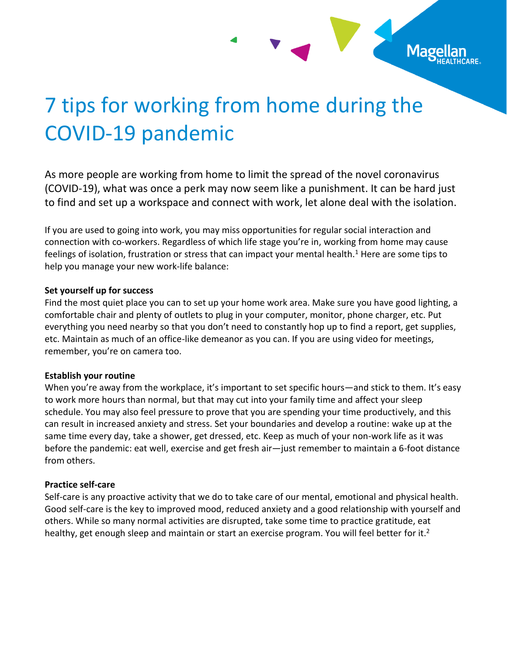

As more people are working from home to limit the spread of the novel coronavirus (COVID-19), what was once a perk may now seem like a punishment. It can be hard just to find and set up a workspace and connect with work, let alone deal with the isolation.

If you are used to going into work, you may miss opportunities for regular social interaction and connection with co-workers. Regardless of which life stage you're in, working from home may cause feelings of isolation, frustration or stress that can impact your mental health.<sup>1</sup> Here are some tips to help you manage your new work-life balance:

# **Set yourself up for success**

Find the most quiet place you can to set up your home work area. Make sure you have good lighting, a comfortable chair and plenty of outlets to plug in your computer, monitor, phone charger, etc. Put everything you need nearby so that you don't need to constantly hop up to find a report, get supplies, etc. Maintain as much of an office-like demeanor as you can. If you are using video for meetings, remember, you're on camera too.

### **Establish your routine**

When you're away from the workplace, it's important to set specific hours—and stick to them. It's easy to work more hours than normal, but that may cut into your family time and affect your sleep schedule. You may also feel pressure to prove that you are spending your time productively, and this can result in increased anxiety and stress. Set your boundaries and develop a routine: wake up at the same time every day, take a shower, get dressed, etc. Keep as much of your non-work life as it was before the pandemic: eat well, exercise and get fresh air—just remember to maintain a 6-foot distance from others.

### **Practice self-care**

Self-care is any proactive activity that we do to take care of our mental, emotional and physical health. Good self-care is the key to improved mood, reduced anxiety and a good relationship with yourself and others. While so many normal activities are disrupted, take some time to practice gratitude, eat healthy, get enough sleep and maintain or start an exercise program. You will feel better for it.<sup>2</sup>